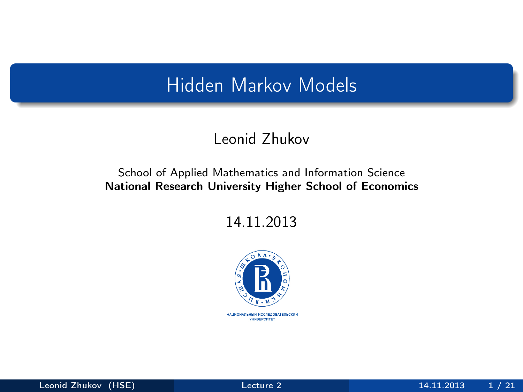## Hidden Markov Models

#### Leonid Zhukov

#### School of Applied Mathematics and Information Science National Research University Higher School of Economics

14.11.2013



<span id="page-0-0"></span>НАЦИОНАЛЬНЫЙ ИССЛЕДОВАТЕЛЬСКИЙ *YHMBEPCWTET*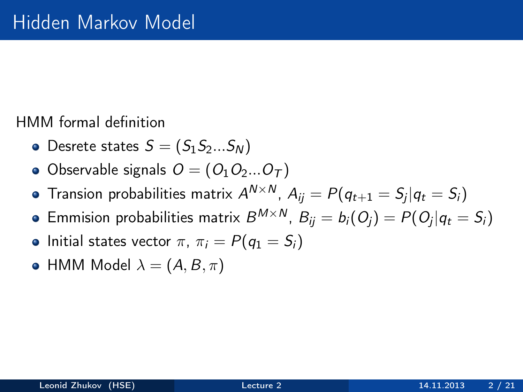HMM formal definition

- Desrete states  $S = (S_1S_2...S_N)$
- Observable signals  $O = (O_1O_2...O_T)$
- Transion probabilities matrix  $A^{N \times N}$ ,  $A_{ij} = P(q_{t+1} = \mathcal{S}_j | q_t = \mathcal{S}_i)$
- Emmision probabilities matrix  $B^{M\times N}$ ,  $B_{ij}=b_i(O_j)=P(O_j|q_t=S_i)$
- Initial states vector  $\pi$ ,  $\pi_i = P(q_1 = S_i)$
- HMM Model  $\lambda = (A, B, \pi)$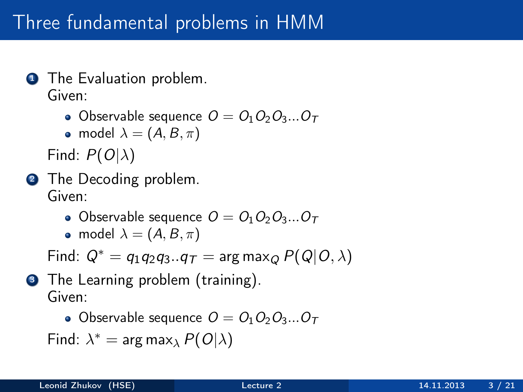# Three fundamental problems in HMM

- **1** The Evaluation problem. Given:
	- Observable sequence  $O = O_1O_2O_3...O_T$

• model 
$$
\lambda = (A, B, \pi)
$$

Find:  $P(O|\lambda)$ 

- **2** The Decoding problem. Given:
	- Observable sequence  $O = O_1O_2O_3...O_T$
	- model  $\lambda = (A, B, \pi)$

Find:  $Q^* = q_1 q_2 q_3 \cdot q_{\text{T}} = \arg \max_{Q} P(Q|Q, \lambda)$ 

**3** The Learning problem (training). Given:

• Observable sequence  $O = O_1O_2O_3...O_T$ 

Find:  $\lambda^* = \arg \max_{\lambda} P(O|\lambda)$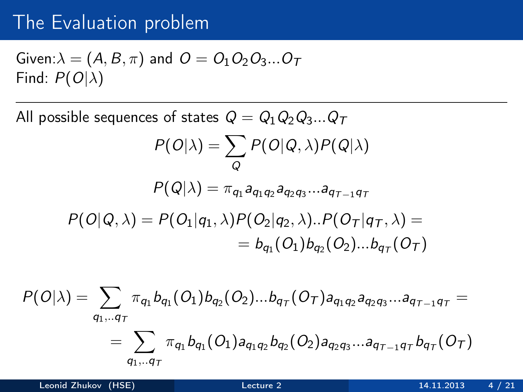#### The Evaluation problem

Given: 
$$
\lambda = (A, B, \pi)
$$
 and  $O = O_1O_2O_3...O_T$   
Find:  $P(O|\lambda)$ 

All possible sequences of states  $Q = Q_1 Q_2 Q_3 ... Q_T$ 

$$
P(O|\lambda) = \sum_{Q} P(O|Q,\lambda) P(Q|\lambda)
$$

$$
P(Q|\lambda) = \pi_{q_1} a_{q_1 q_2} a_{q_2 q_3} ... a_{q_{T-1} q_T}
$$

$$
P(O|Q, \lambda) = P(O_1|q_1, \lambda)P(O_2|q_2, \lambda)..P(O_T|q_T, \lambda) == b_{q_1}(O_1)b_{q_2}(O_2)...b_{q_T}(O_T)
$$

$$
P(O|\lambda) = \sum_{q_1,..q_T} \pi_{q_1} b_{q_1}(O_1) b_{q_2}(O_2)...b_{q_T}(O_T) a_{q_1q_2} a_{q_2q_3}...a_{q_{T-1}q_T} = \\ = \sum_{q_1,..q_T} \pi_{q_1} b_{q_1}(O_1) a_{q_1q_2} b_{q_2}(O_2) a_{q_2q_3}...a_{q_{T-1}q_T} b_{q_T}(O_T)
$$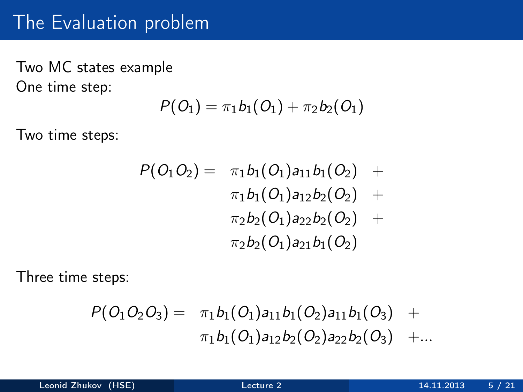#### The Evaluation problem

Two MC states example One time step:

$$
P(O_1)=\pi_1b_1(O_1)+\pi_2b_2(O_1)
$$

Two time steps:

$$
P(O_1O_2) = \pi_1b_1(O_1)a_{11}b_1(O_2) +\pi_1b_1(O_1)a_{12}b_2(O_2) +\pi_2b_2(O_1)a_{22}b_2(O_2) +\pi_2b_2(O_1)a_{21}b_1(O_2)
$$

Three time steps:

$$
P(O_1O_2O_3) = \pi_1b_1(O_1)a_{11}b_1(O_2)a_{11}b_1(O_3) + \pi_1b_1(O_1)a_{12}b_2(O_2)a_{22}b_2(O_3) + ...
$$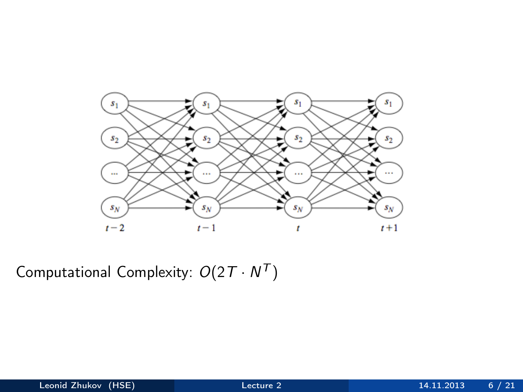

Computational Complexity:  $O(2T \cdot N^T)$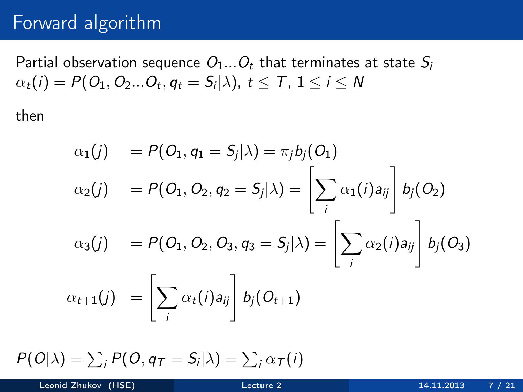#### Forward algorithm

Partial observation sequence  $O_1...O_t$  that terminates at state  $S_i$  $\alpha_t(i) = P(O_1, O_2...O_t, q_t = S_i | \lambda), t \le T$ ,  $1 \le i \le N$ 

then

$$
\alpha_1(j) = P(O_1, q_1 = S_j | \lambda) = \pi_j b_j(O_1)
$$
  
\n
$$
\alpha_2(j) = P(O_1, O_2, q_2 = S_j | \lambda) = \left[ \sum_i \alpha_1(i) a_{ij} \right] b_j(O_2)
$$
  
\n
$$
\alpha_3(j) = P(O_1, O_2, O_3, q_3 = S_j | \lambda) = \left[ \sum_i \alpha_2(i) a_{ij} \right] b_j(O_3)
$$
  
\n
$$
\alpha_{t+1}(j) = \left[ \sum_i \alpha_t(i) a_{ij} \right] b_j(O_{t+1})
$$

 $P(O|\lambda) = \sum_i P(O, q_T = S_i|\lambda) = \sum_i \alpha_{\mathcal{T}}(i)$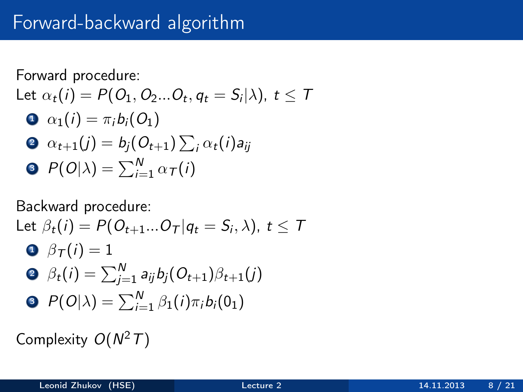### Forward-backward algorithm

Forward procedure:

\nLet 
$$
\alpha_t(i) = P(O_1, O_2...O_t, q_t = S_i | \lambda), t \leq T
$$

\n•  $\alpha_1(i) = \pi_i b_i(O_1)$ 

\n•  $\alpha_{t+1}(j) = b_j(O_{t+1}) \sum_i \alpha_t(i) a_{ij}$ 

\n•  $P(O|\lambda) = \sum_{i=1}^{N} \alpha_i(i)$ 

Backward procedure:

Let 
$$
\beta_t(i) = P(O_{t+1}...O_T | q_t = S_i, \lambda)
$$
,  $t \le T$   
\n $\Theta \beta_T(i) = 1$   
\n $\Theta \beta_t(i) = \sum_{j=1}^N a_{ij} b_j(O_{t+1})\beta_{t+1}(j)$   
\n $\Theta P(O|\lambda) = \sum_{i=1}^N \beta_1(i)\pi_i b_i(0_1)$ 

Complexity  $O(N^2T)$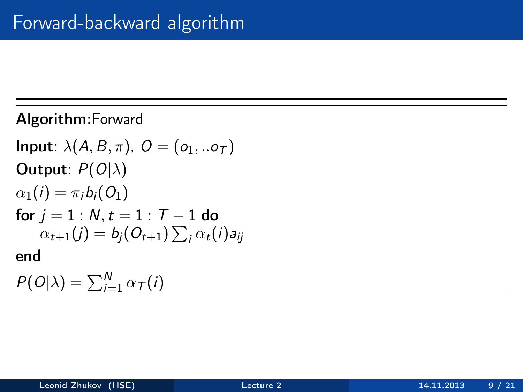#### Algorithm:Forward

Input: 
$$
\lambda(A, B, \pi)
$$
,  $O = (o_1, \ldots o_T)$ 

\nOutput:  $P(O|\lambda)$ 

\n $\alpha_1(i) = \pi_i b_i(O_1)$ 

\nfor  $j = 1 : N, t = 1 : T - 1$  do

\n $|\alpha_{t+1}(j) = b_j(O_{t+1}) \sum_i \alpha_t(i) a_{ij}$ 

\nend

\n $P(O|\lambda) = \sum_{i=1}^{N} \alpha_{T}(i)$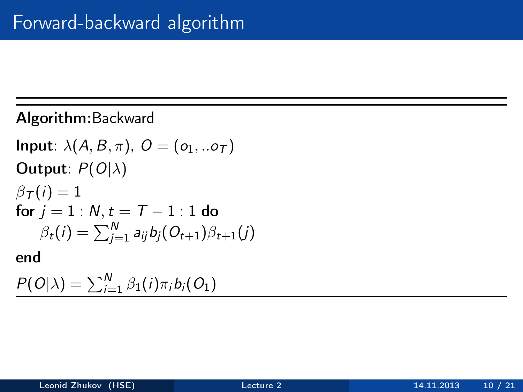Algorithm:Backward

Input:  $\lambda(A, B, \pi)$ ,  $O = (o_1, o_1)$ Output:  $P(O|\lambda)$  $\beta_{\mathcal{T}}(i)=1$ for  $j = 1 : N, t = T - 1 : 1$  do  $\beta_t(i) = \sum_{j=1}^N a_{ij} b_j(O_{t+1}) \beta_{t+1}(j)$ end  $P(O|\lambda) = \sum_{i=1}^{N} \beta_1(i) \pi_i b_i(O_1)$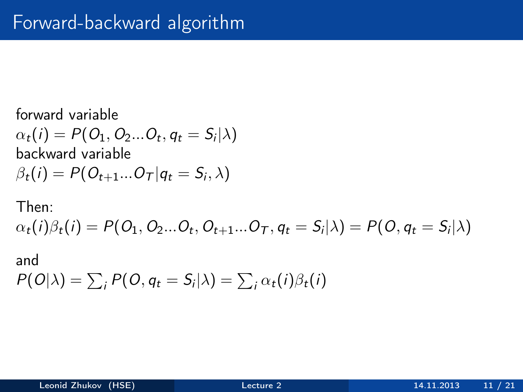forward variable  $\alpha_t(i) = P(O_1, O_2...O_t, q_t = S_i | \lambda)$ backward variable  $\beta_t(i) = P(O_{t+1}...O_{\mathcal{T}}|q_t = S_i, \lambda)$ 

Then:

 $\alpha_t(i)\beta_t(i) = P(O_1, O_2...O_t, O_{t+1}...O_{\mathcal{T}}, q_t = S_i | \lambda) = P(O, q_t = S_i | \lambda)$ 

and  $P(O|\lambda) = \sum_i P(O, q_t = S_i | \lambda) = \sum_i \alpha_t(i) \beta_t(i)$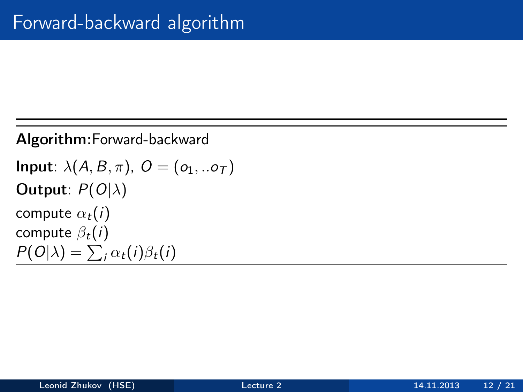```
Algorithm:Forward-backward
Input: \lambda(A, B, \pi), O = (o_1, .. o_\tau)Output: P(O|\lambda)compute \alpha_t(i)compute \beta_t(i)P(O|\lambda) = \sum_i \alpha_i(i) \beta_i(i)
```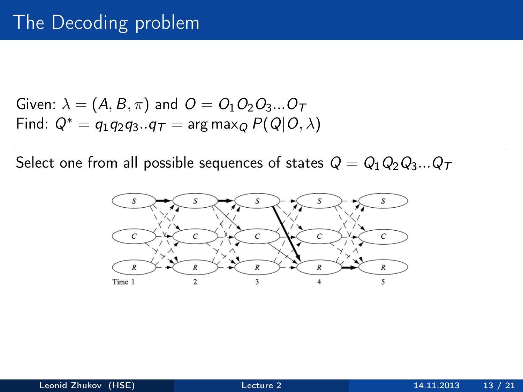Given: 
$$
\lambda = (A, B, \pi)
$$
 and  $O = O_1O_2O_3...O_T$   
Find:  $Q^* = q_1q_2q_3...q_T = \arg \max_Q P(Q|O, \lambda)$ 

Select one from all possible sequences of states  $Q = Q_1 Q_2 Q_3 ... Q_T$ 

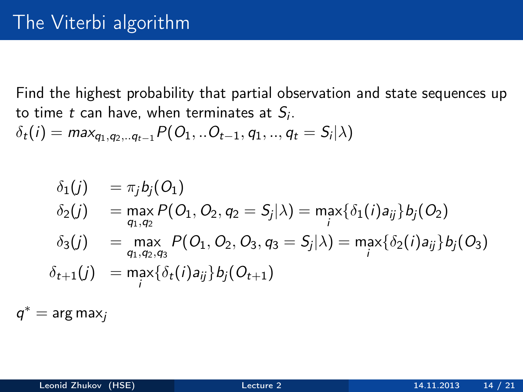Find the highest probability that partial observation and state sequences up to time  $t$  can have, when terminates at  $S_i$ .

 $\delta_t(i) = \max_{q_1, q_2,..q_{t-1}} P(O_1,..O_{t-1}, q_1,..,q_t = S_i | \lambda)$ 

$$
\delta_1(j) = \pi_j b_j(O_1) \n\delta_2(j) = \max_{q_1, q_2} P(O_1, O_2, q_2 = S_j | \lambda) = \max_i \{ \delta_1(i) a_{ij} \} b_j(O_2) \n\delta_3(j) = \max_{q_1, q_2, q_3} P(O_1, O_2, O_3, q_3 = S_j | \lambda) = \max_i \{ \delta_2(i) a_{ij} \} b_j(O_3) \n\delta_{t+1}(j) = \max_i \{ \delta_t(i) a_{ij} \} b_j(O_{t+1})
$$

 $q^* = \arg \max_j$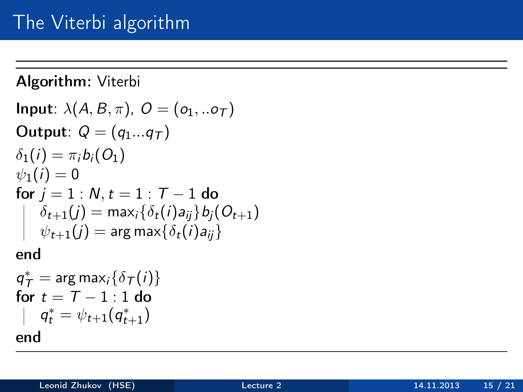Algorithm: Viterbi Input:  $\lambda(A, B, \pi)$ ,  $O = (o_1, .. o_{\tau})$ Output:  $Q = (q_1...q_T)$  $\delta_1(i) = \pi_i b_i(O_1)$  $\psi_1(i) = 0$ for  $j = 1 : N, t = 1 : T - 1$  do  $\delta_{t+1}(j) = \mathsf{max}_i\{\delta_t(i)$ a $_{ij}\}$ b $_j(O_{t+1})$  $\psi_{t+1}(j) = \argmax\{\delta_t(i)$ a $_{ij}\}$ 

end

$$
q_T^* = \arg \max_i \{ \delta_T(i) \}
$$
  
for  $t = T - 1 : 1$  do  

$$
\mid q_t^* = \psi_{t+1}(q_{t+1}^*)
$$
  
end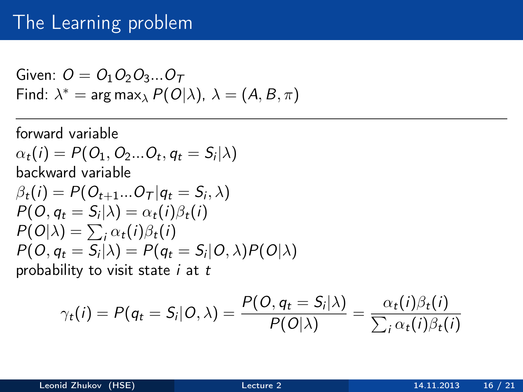#### The Learning problem

Given: 
$$
O = O_1 O_2 O_3 ... O_T
$$
  
Find:  $\lambda^* = \arg \max_{\lambda} P(O|\lambda), \lambda = (A, B, \pi)$ 

forward variable  $\alpha_t(i) = P(O_1, O_2...O_t, q_t = S_i | \lambda)$ backward variable  $\beta_t(i) = P(O_{t+1}...O_{T} | q_t = S_i, \lambda)$  $P(O, q_t = S_i | \lambda) = \alpha_t(i) \beta_t(i)$  $P(O|\lambda) = \sum_i \alpha_i(i) \beta_i(i)$  $P(O, q_t = S_i | \lambda) = P(q_t = S_i | O, \lambda) P(O | \lambda)$ probability to visit state  $i$  at  $t$ 

$$
\gamma_t(i) = P(q_t = S_i | O, \lambda) = \frac{P(O, q_t = S_i | \lambda)}{P(O | \lambda)} = \frac{\alpha_t(i)\beta_t(i)}{\sum_i \alpha_t(i)\beta_t(i)}
$$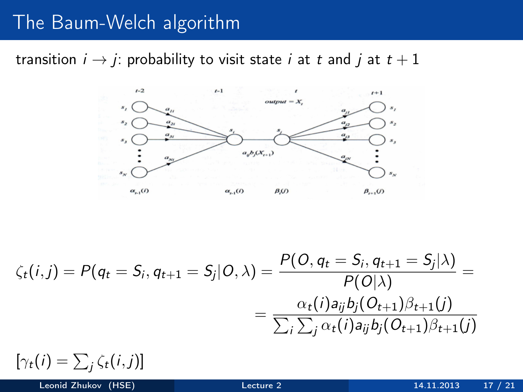### The Baum-Welch algorithm

transition  $i \rightarrow j$ : probability to visit state i at t and j at  $t + 1$ 



$$
\zeta_t(i,j) = P(q_t = S_i, q_{t+1} = S_j | O, \lambda) = \frac{P(O, q_t = S_i, q_{t+1} = S_j | \lambda)}{P(O | \lambda)} = \frac{\alpha_t(i)a_{ij}b_j(O_{t+1})\beta_{t+1}(j)}{\sum_i \sum_j \alpha_t(i)a_{ij}b_j(O_{t+1})\beta_{t+1}(j)}
$$

 $[\gamma_t(i) = \sum_j \zeta_t(i,j)]$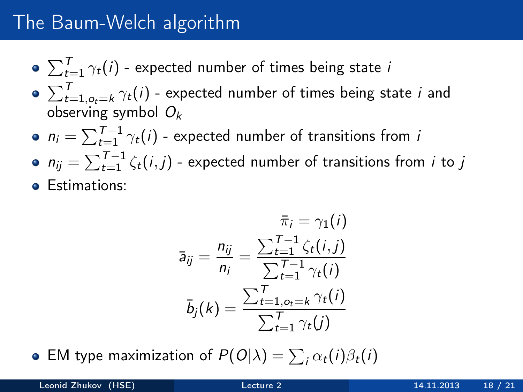## The Baum-Welch algorithm

- $\sum_{t=1}^{T} \gamma_t(i)$  expected number of times being state  $i$
- $\sum_{t=1, o_t = k}^T \gamma_t(i)$  expected number of times being state  $i$  and observing symbol  $O_k$
- $n_i = \sum_{t=1}^{T-1} \gamma_t(i)$  expected number of transitions from i
- $n_{ij} = \sum_{t=1}^{T-1} \zeta_t(i,j)$  expected number of transitions from  $i$  to  $j$ **e** Estimations:
	- $\bar{\pi}_i = \gamma_1(i)$  $\bar{a}_{ij} = \frac{n_{ij}}{n_{ij}}$  $\frac{n_{ij}}{n_i} = \frac{\sum_{t=1}^{T-1} \zeta_t(i,j)}{\sum_{t=1}^{T-1} \gamma_t(i)}$  $\sum_{t=1}^{T-1} \gamma_t(i)$  $\bar{b}_j(k) =$  $\sum_{t=1,o_t=k}^{T} \gamma_t(i)$  $\sum_{t=1}^T \gamma_t(j)$
- EM type maximization of  $P(O|\lambda) = \sum_i \alpha_i(i) \beta_i(i)$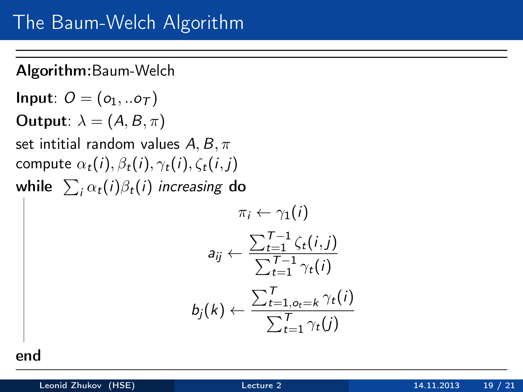Algorithm:Baum-Welch

Input:  $O = (o_1, .. o_T)$ **Output**:  $\lambda = (A, B, \pi)$ set intitial random values  $A, B, \pi$ compute  $\alpha_t(i)$ ,  $\beta_t(i)$ ,  $\gamma_t(i)$ ,  $\zeta_t(i,j)$ while  $\sum_i \alpha_t(i) \beta_t(i)$  increasing  ${\bf do}$ 

$$
\pi_i \leftarrow \gamma_1(i)
$$
\n
$$
a_{ij} \leftarrow \frac{\sum_{t=1}^{T-1} \zeta_t(i,j)}{\sum_{t=1}^{T-1} \gamma_t(i)}
$$
\n
$$
b_j(k) \leftarrow \frac{\sum_{t=1, o_t = k}^{T} \gamma_t(i)}{\sum_{t=1}^{T} \gamma_t(j)}
$$

end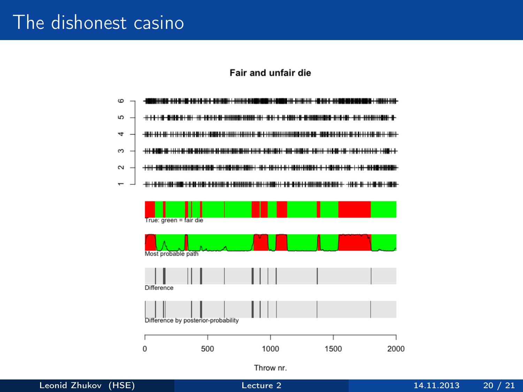#### The dishonest casino

#### Fair and unfair die



Throw nr.